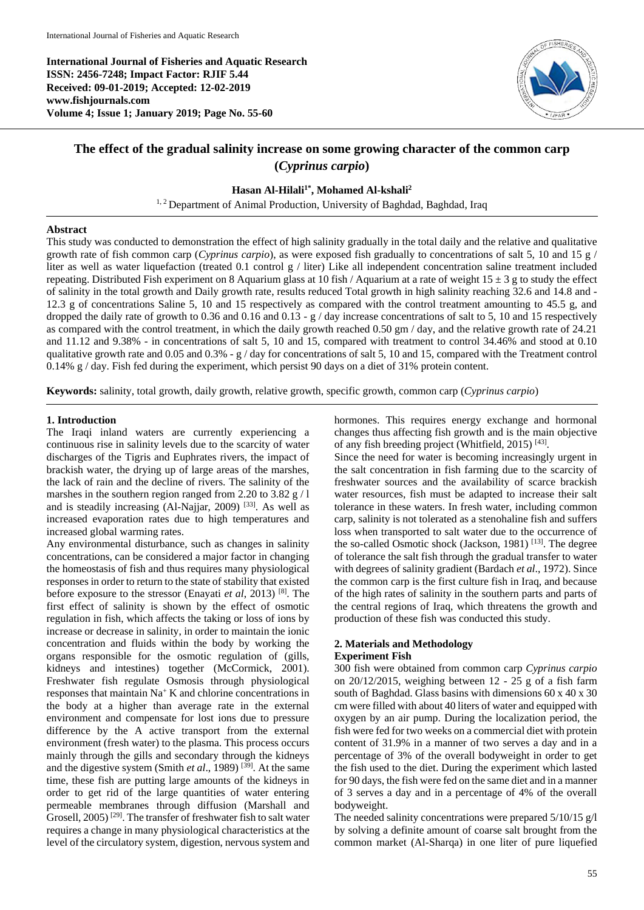**International Journal of Fisheries and Aquatic Research ISSN: 2456-7248; Impact Factor: RJIF 5.44 Received: 09-01-2019; Accepted: 12-02-2019 www.fishjournals.com Volume 4; Issue 1; January 2019; Page No. 55-60**



# **The effect of the gradual salinity increase on some growing character of the common carp (***Cyprinus carpio***)**

# **Hasan Al-Hilali1\* , Mohamed Al-kshali<sup>2</sup>**

<sup>1, 2</sup> Department of Animal Production, University of Baghdad, Baghdad, Iraq

## **Abstract**

This study was conducted to demonstration the effect of high salinity gradually in the total daily and the relative and qualitative growth rate of fish common carp (*Cyprinus carpio*), as were exposed fish gradually to concentrations of salt 5, 10 and 15 g / liter as well as water liquefaction (treated 0.1 control g / liter) Like all independent concentration saline treatment included repeating. Distributed Fish experiment on 8 Aquarium glass at 10 fish / Aquarium at a rate of weight  $15 \pm 3$  g to study the effect of salinity in the total growth and Daily growth rate, results reduced Total growth in high salinity reaching 32.6 and 14.8 and - 12.3 g of concentrations Saline 5, 10 and 15 respectively as compared with the control treatment amounting to 45.5 g, and dropped the daily rate of growth to 0.36 and 0.16 and 0.13 - g / day increase concentrations of salt to 5, 10 and 15 respectively as compared with the control treatment, in which the daily growth reached 0.50 gm / day, and the relative growth rate of 24.21 and 11.12 and 9.38% - in concentrations of salt 5, 10 and 15, compared with treatment to control 34.46% and stood at 0.10 qualitative growth rate and 0.05 and 0.3% - g / day for concentrations of salt 5, 10 and 15, compared with the Treatment control 0.14% g / day. Fish fed during the experiment, which persist 90 days on a diet of 31% protein content.

**Keywords:** salinity, total growth, daily growth, relative growth, specific growth, common carp (*Cyprinus carpio*)

# **1. Introduction**

The Iraqi inland waters are currently experiencing a continuous rise in salinity levels due to the scarcity of water discharges of the Tigris and Euphrates rivers, the impact of brackish water, the drying up of large areas of the marshes, the lack of rain and the decline of rivers. The salinity of the marshes in the southern region ranged from 2.20 to 3.82 g / l and is steadily increasing (Al-Najjar, 2009)<sup>[33]</sup>. As well as increased evaporation rates due to high temperatures and increased global warming rates.

Any environmental disturbance, such as changes in salinity concentrations, can be considered a major factor in changing the homeostasis of fish and thus requires many physiological responses in order to return to the state of stability that existed before exposure to the stressor (Enayati *et al*, 2013) [8] . The first effect of salinity is shown by the effect of osmotic regulation in fish, which affects the taking or loss of ions by increase or decrease in salinity, in order to maintain the ionic concentration and fluids within the body by working the organs responsible for the osmotic regulation of (gills, kidneys and intestines) together (McCormick, 2001). Freshwater fish regulate Osmosis through physiological responses that maintain  $Na<sup>+</sup>K$  and chlorine concentrations in the body at a higher than average rate in the external environment and compensate for lost ions due to pressure difference by the A active transport from the external environment (fresh water) to the plasma. This process occurs mainly through the gills and secondary through the kidneys and the digestive system (Smith *et al.*, 1989)<sup>[39]</sup>. At the same time, these fish are putting large amounts of the kidneys in order to get rid of the large quantities of water entering permeable membranes through diffusion (Marshall and Grosell, 2005)<sup>[29]</sup>. The transfer of freshwater fish to salt water requires a change in many physiological characteristics at the level of the circulatory system, digestion, nervous system and

hormones. This requires energy exchange and hormonal changes thus affecting fish growth and is the main objective of any fish breeding project (Whitfield, 2015)<sup>[43]</sup>.

Since the need for water is becoming increasingly urgent in the salt concentration in fish farming due to the scarcity of freshwater sources and the availability of scarce brackish water resources, fish must be adapted to increase their salt tolerance in these waters. In fresh water, including common carp, salinity is not tolerated as a stenohaline fish and suffers loss when transported to salt water due to the occurrence of the so-called Osmotic shock (Jackson, 1981)<sup>[13]</sup>. The degree of tolerance the salt fish through the gradual transfer to water with degrees of salinity gradient (Bardach *et al*., 1972). Since the common carp is the first culture fish in Iraq, and because of the high rates of salinity in the southern parts and parts of the central regions of Iraq, which threatens the growth and production of these fish was conducted this study.

# **2. Materials and Methodology Experiment Fish**

300 fish were obtained from common carp *Cyprinus carpio* on 20/12/2015, weighing between 12 - 25 g of a fish farm south of Baghdad. Glass basins with dimensions 60 x 40 x 30 cm were filled with about 40 liters of water and equipped with oxygen by an air pump. During the localization period, the fish were fed for two weeks on a commercial diet with protein content of 31.9% in a manner of two serves a day and in a percentage of 3% of the overall bodyweight in order to get the fish used to the diet. During the experiment which lasted for 90 days, the fish were fed on the same diet and in a manner of 3 serves a day and in a percentage of 4% of the overall bodyweight.

The needed salinity concentrations were prepared 5/10/15 g/l by solving a definite amount of coarse salt brought from the common market (Al-Sharqa) in one liter of pure liquefied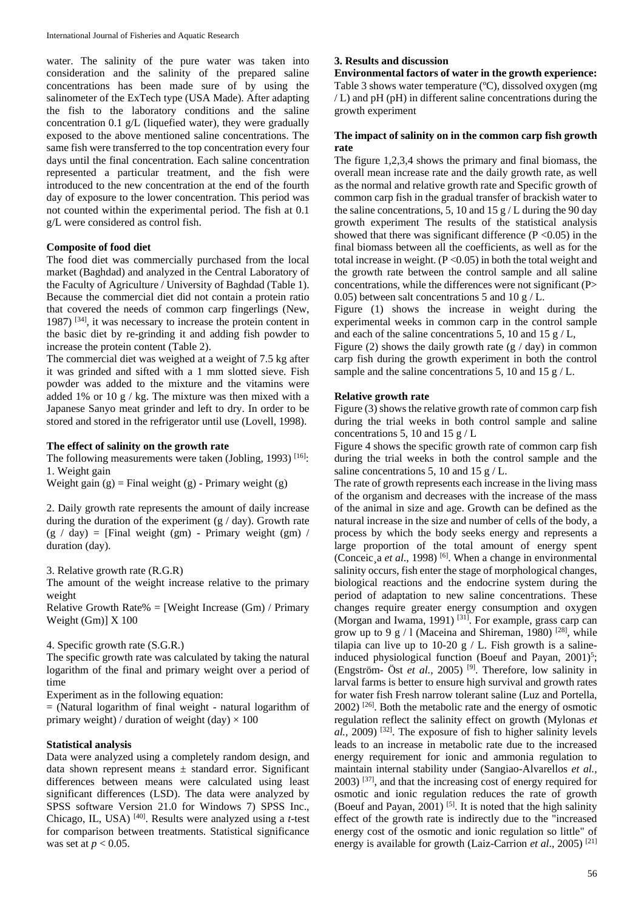water. The salinity of the pure water was taken into consideration and the salinity of the prepared saline concentrations has been made sure of by using the salinometer of the ExTech type (USA Made). After adapting the fish to the laboratory conditions and the saline concentration 0.1 g/L (liquefied water), they were gradually exposed to the above mentioned saline concentrations. The same fish were transferred to the top concentration every four days until the final concentration. Each saline concentration represented a particular treatment, and the fish were introduced to the new concentration at the end of the fourth day of exposure to the lower concentration. This period was not counted within the experimental period. The fish at 0.1 g/L were considered as control fish.

#### **Composite of food diet**

The food diet was commercially purchased from the local market (Baghdad) and analyzed in the Central Laboratory of the Faculty of Agriculture / University of Baghdad (Table 1). Because the commercial diet did not contain a protein ratio that covered the needs of common carp fingerlings (New, 1987) [34] , it was necessary to increase the protein content in the basic diet by re-grinding it and adding fish powder to increase the protein content (Table 2).

The commercial diet was weighed at a weight of 7.5 kg after it was grinded and sifted with a 1 mm slotted sieve. Fish powder was added to the mixture and the vitamins were added 1% or 10 g / kg. The mixture was then mixed with a Japanese Sanyo meat grinder and left to dry. In order to be stored and stored in the refrigerator until use (Lovell, 1998).

## **The effect of salinity on the growth rate**

The following measurements were taken (Jobling, 1993)<sup>[16]</sup>: 1. Weight gain

Weight gain  $(g)$  = Final weight  $(g)$  - Primary weight  $(g)$ 

2. Daily growth rate represents the amount of daily increase during the duration of the experiment  $(g / day)$ . Growth rate  $(g / day) =$  [Final weight (gm) - Primary weight (gm) / duration (day).

3. Relative growth rate (R.G.R)

The amount of the weight increase relative to the primary weight

Relative Growth Rate% = [Weight Increase  $(Gm)$  / Primary Weight (Gm)] X 100

# 4. Specific growth rate (S.G.R.)

The specific growth rate was calculated by taking the natural logarithm of the final and primary weight over a period of time

Experiment as in the following equation:

 $=$  (Natural logarithm of final weight - natural logarithm of primary weight) / duration of weight (day)  $\times$  100

#### **Statistical analysis**

Data were analyzed using a completely random design, and data shown represent means  $\pm$  standard error. Significant differences between means were calculated using least significant differences (LSD). The data were analyzed by SPSS software Version 21.0 for Windows 7) SPSS Inc., Chicago, IL, USA) [40] . Results were analyzed using a *t*-test for comparison between treatments. Statistical significance was set at *p* < 0.05.

#### **3. Results and discussion**

**Environmental factors of water in the growth experience:** Table 3 shows water temperature (ºC), dissolved oxygen (mg / L) and pH (pH) in different saline concentrations during the growth experiment

#### **The impact of salinity on in the common carp fish growth rate**

The figure 1,2,3,4 shows the primary and final biomass, the overall mean increase rate and the daily growth rate, as well as the normal and relative growth rate and Specific growth of common carp fish in the gradual transfer of brackish water to the saline concentrations, 5, 10 and 15  $g / L$  during the 90 day growth experiment The results of the statistical analysis showed that there was significant difference  $(P \le 0.05)$  in the final biomass between all the coefficients, as well as for the total increase in weight.  $(P<0.05)$  in both the total weight and the growth rate between the control sample and all saline concentrations, while the differences were not significant (P> 0.05) between salt concentrations 5 and 10 g / L.

Figure (1) shows the increase in weight during the experimental weeks in common carp in the control sample and each of the saline concentrations 5, 10 and 15  $g/L$ ,

Figure (2) shows the daily growth rate  $(g / day)$  in common carp fish during the growth experiment in both the control sample and the saline concentrations 5, 10 and 15  $g$  / L.

#### **Relative growth rate**

Figure (3) shows the relative growth rate of common carp fish during the trial weeks in both control sample and saline concentrations 5, 10 and 15  $\frac{g}{L}$ 

Figure 4 shows the specific growth rate of common carp fish during the trial weeks in both the control sample and the saline concentrations 5, 10 and 15 g / L.

The rate of growth represents each increase in the living mass of the organism and decreases with the increase of the mass of the animal in size and age. Growth can be defined as the natural increase in the size and number of cells of the body, a process by which the body seeks energy and represents a large proportion of the total amount of energy spent (Conceic¸a *et al*., 1998) [6] . When a change in environmental salinity occurs, fish enter the stage of morphological changes, biological reactions and the endocrine system during the period of adaptation to new saline concentrations. These changes require greater energy consumption and oxygen (Morgan and Iwama, 1991)<sup>[31]</sup>. For example, grass carp can grow up to 9 g / 1 (Maceina and Shireman, 1980)<sup>[28]</sup>, while tilapia can live up to 10-20 g  $/$  L. Fish growth is a salineinduced physiological function (Boeuf and Payan,  $2001$ )<sup>5</sup>; (Engström- Öst *et al.*, 2005) [9] . Therefore, low salinity in larval farms is better to ensure high survival and growth rates for water fish Fresh narrow tolerant saline (Luz and Portella,  $2002$ ) <sup>[26]</sup>. Both the metabolic rate and the energy of osmotic regulation reflect the salinity effect on growth (Mylonas *et*   $al$ , 2009)<sup>[32]</sup>. The exposure of fish to higher salinity levels leads to an increase in metabolic rate due to the increased energy requirement for ionic and ammonia regulation to maintain internal stability under (Sangiao-Alvarellos *et al.,*  $2003$ )  $^{[37]}$ , and that the increasing cost of energy required for osmotic and ionic regulation reduces the rate of growth (Boeuf and Payan, 2001)<sup>[5]</sup>. It is noted that the high salinity effect of the growth rate is indirectly due to the "increased energy cost of the osmotic and ionic regulation so little" of energy is available for growth (Laiz-Carrion *et al*., 2005) [21]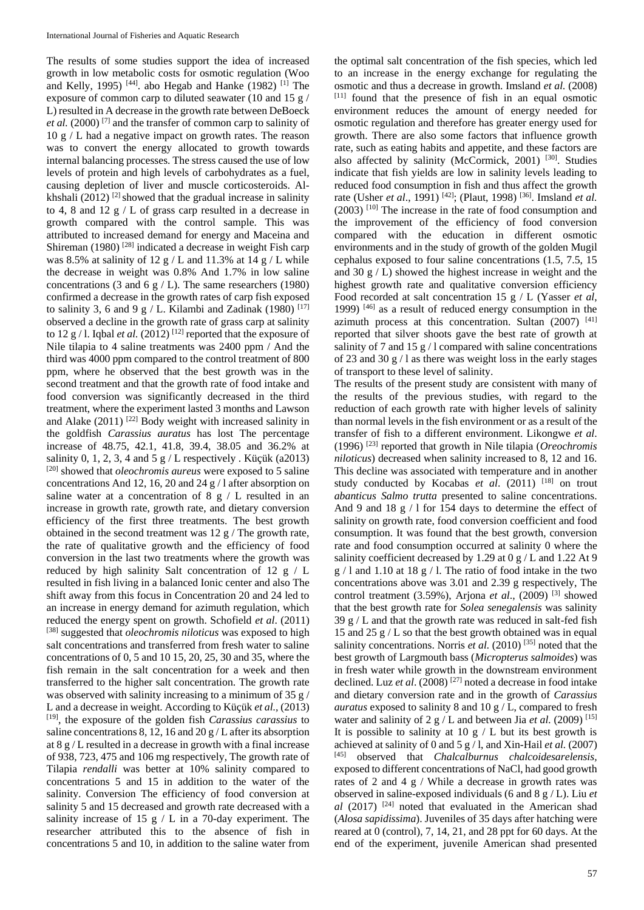The results of some studies support the idea of increased growth in low metabolic costs for osmotic regulation (Woo and Kelly, 1995)<sup>[44]</sup>. abo Hegab and Hanke (1982)<sup>[1]</sup> The exposure of common carp to diluted seawater (10 and 15 g / L) resulted in A decrease in the growth rate between DeBoeck *et al.* (2000) [7] and the transfer of common carp to salinity of 10 g / L had a negative impact on growth rates. The reason was to convert the energy allocated to growth towards internal balancing processes. The stress caused the use of low levels of protein and high levels of carbohydrates as a fuel, causing depletion of liver and muscle corticosteroids. Alkhshali  $(2012)$ <sup>[2]</sup> showed that the gradual increase in salinity to 4, 8 and 12 g / L of grass carp resulted in a decrease in growth compared with the control sample. This was attributed to increased demand for energy and Maceina and Shireman (1980)<sup>[28]</sup> indicated a decrease in weight Fish carp was 8.5% at salinity of 12 g / L and 11.3% at 14 g / L while the decrease in weight was 0.8% And 1.7% in low saline concentrations (3 and 6 g  $/$  L). The same researchers (1980) confirmed a decrease in the growth rates of carp fish exposed to salinity 3, 6 and 9 g / L. Kilambi and Zadinak (1980)  $^{[17]}$ observed a decline in the growth rate of grass carp at salinity to  $12 g / l$ . Iqbal *et al.* (2012)<sup>[12]</sup> reported that the exposure of Nile tilapia to 4 saline treatments was 2400 ppm / And the third was 4000 ppm compared to the control treatment of 800 ppm, where he observed that the best growth was in the second treatment and that the growth rate of food intake and food conversion was significantly decreased in the third treatment, where the experiment lasted 3 months and Lawson and Alake  $(2011)$ <sup>[22]</sup> Body weight with increased salinity in the goldfish *Carassius auratus* has lost The percentage increase of 48.75, 42.1, 41.8, 39.4, 38.05 and 36.2% at salinity 0, 1, 2, 3, 4 and 5 g / L respectively . Küçük (a2013) [20] showed that *oleochromis aureus* were exposed to 5 saline concentrations And 12, 16, 20 and 24 g / l after absorption on saline water at a concentration of 8 g / L resulted in an increase in growth rate, growth rate, and dietary conversion efficiency of the first three treatments. The best growth obtained in the second treatment was 12 g / The growth rate, the rate of qualitative growth and the efficiency of food conversion in the last two treatments where the growth was reduced by high salinity Salt concentration of 12 g / L resulted in fish living in a balanced Ionic center and also The shift away from this focus in Concentration 20 and 24 led to an increase in energy demand for azimuth regulation, which reduced the energy spent on growth. Schofield *et al*. (2011) [38] suggested that *oleochromis niloticus* was exposed to high salt concentrations and transferred from fresh water to saline concentrations of 0, 5 and 10 15, 20, 25, 30 and 35, where the fish remain in the salt concentration for a week and then transferred to the higher salt concentration. The growth rate was observed with salinity increasing to a minimum of 35 g / L and a decrease in weight. According to Küçük *et al.,* (2013) [19] , the exposure of the golden fish *Carassius carassius* to saline concentrations 8, 12, 16 and 20 g / L after its absorption at 8 g / L resulted in a decrease in growth with a final increase of 938, 723, 475 and 106 mg respectively, The growth rate of Tilapia *rendalli* was better at 10% salinity compared to concentrations 5 and 15 in addition to the water of the salinity. Conversion The efficiency of food conversion at salinity 5 and 15 decreased and growth rate decreased with a salinity increase of 15 g  $/L$  in a 70-day experiment. The researcher attributed this to the absence of fish in concentrations 5 and 10, in addition to the saline water from

the optimal salt concentration of the fish species, which led to an increase in the energy exchange for regulating the osmotic and thus a decrease in growth. Imsland *et al.* (2008) [11] found that the presence of fish in an equal osmotic environment reduces the amount of energy needed for osmotic regulation and therefore has greater energy used for growth. There are also some factors that influence growth rate, such as eating habits and appetite, and these factors are also affected by salinity (McCormick, 2001)<sup>[30]</sup>. Studies indicate that fish yields are low in salinity levels leading to reduced food consumption in fish and thus affect the growth rate (Usher *et al.*, 1991)<sup>[42]</sup>; (Plaut, 1998)<sup>[36]</sup>. Imsland *et al.* (2003) [10] The increase in the rate of food consumption and the improvement of the efficiency of food conversion compared with the education in different osmotic environments and in the study of growth of the golden Mugil cephalus exposed to four saline concentrations (1.5, 7.5, 15 and 30  $g / L$ ) showed the highest increase in weight and the highest growth rate and qualitative conversion efficiency Food recorded at salt concentration 15 g / L (Yasser *et al*, 1999) [46] as a result of reduced energy consumption in the azimuth process at this concentration. Sultan (2007) <sup>[41]</sup> reported that silver shoots gave the best rate of growth at salinity of 7 and 15  $g/1$  compared with saline concentrations of 23 and 30 g / l as there was weight loss in the early stages of transport to these level of salinity.

The results of the present study are consistent with many of the results of the previous studies, with regard to the reduction of each growth rate with higher levels of salinity than normal levels in the fish environment or as a result of the transfer of fish to a different environment. Likongwe *et al*. (1996) [23] reported that growth in Nile tilapia (*Oreochromis niloticus*) decreased when salinity increased to 8, 12 and 16. This decline was associated with temperature and in another study conducted by Kocabas et al. (2011) <sup>[18]</sup> on trout *abanticus Salmo trutta* presented to saline concentrations. And 9 and 18 g / l for 154 days to determine the effect of salinity on growth rate, food conversion coefficient and food consumption. It was found that the best growth, conversion rate and food consumption occurred at salinity 0 where the salinity coefficient decreased by 1.29 at 0 g / L and 1.22 At 9  $g / 1$  and 1.10 at 18  $g / 1$ . The ratio of food intake in the two concentrations above was 3.01 and 2.39 g respectively, The control treatment (3.59%), Arjona et al., (2009)<sup>[3]</sup> showed that the best growth rate for *Solea senegalensis* was salinity 39 g  $/$  L and that the growth rate was reduced in salt-fed fish 15 and 25  $g / L$  so that the best growth obtained was in equal salinity concentrations. Norris *et al.* (2010)<sup>[35]</sup> noted that the best growth of Largmouth bass (*Micropterus salmoides*) was in fresh water while growth in the downstream environment declined. Luz *et al*. (2008) [27] noted a decrease in food intake and dietary conversion rate and in the growth of *Carassius auratus* exposed to salinity 8 and 10 g / L, compared to fresh water and salinity of 2 g / L and between Jia *et al.* (2009)<sup>[15]</sup> It is possible to salinity at 10  $g / L$  but its best growth is achieved at salinity of 0 and 5 g / l, and Xin-Hail *et al.* (2007) [45] observed that *Chalcalburnus chalcoidesarelensis,* exposed to different concentrations of NaCl, had good growth rates of 2 and 4 g / While a decrease in growth rates was observed in saline-exposed individuals (6 and 8 g / L). Liu *et al* (2017) [24] noted that evaluated in the American shad (*Alosa sapidissima*). Juveniles of 35 days after hatching were reared at 0 (control), 7, 14, 21, and 28 ppt for 60 days. At the end of the experiment, juvenile American shad presented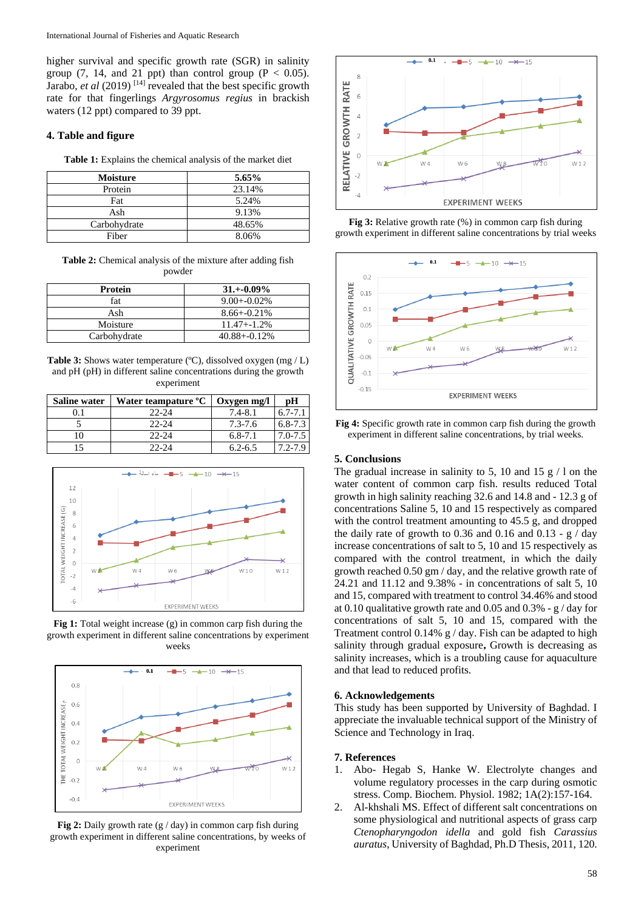higher survival and specific growth rate (SGR) in salinity group (7, 14, and 21 ppt) than control group ( $P < 0.05$ ). Jarabo, *et al* (2019)<sup>[14]</sup> revealed that the best specific growth rate for that fingerlings *Argyrosomus regius* in brackish waters (12 ppt) compared to 39 ppt.

## **4. Table and figure**

**Table 1:** Explains the chemical analysis of the market diet

| <b>Moisture</b> | 5.65%  |
|-----------------|--------|
| Protein         | 23.14% |
| Fat             | 5.24%  |
| Ash             | 9.13%  |
| Carbohydrate    | 48.65% |
| Fiber           | 8.06%  |

**Table 2:** Chemical analysis of the mixture after adding fish powder

| <b>Protein</b> | $31.+0.09\%$     |
|----------------|------------------|
| fat            | $9.00 + -0.02\%$ |
| Ash            | $8.66 + -0.21\%$ |
| Moisture       | $11.47 + -1.2\%$ |
| Carbohydrate   | $40.88 + -0.12%$ |

**Table 3:** Shows water temperature (°C), dissolved oxygen (mg / L) and pH (pH) in different saline concentrations during the growth experiment

| <b>Saline water</b> | Water teampature <sup>o</sup> C | Oxygen mg/l | рH          |
|---------------------|---------------------------------|-------------|-------------|
|                     | $22 - 24$                       | $7.4 - 8.1$ | $6.7 - 7.1$ |
|                     | $22 - 24$                       | $7.3 - 7.6$ | $6,8-7,3$   |
|                     | $22 - 24$                       | $6, 8-7.1$  | $7.0 - 7.5$ |
|                     | $22 - 24$                       | $6.2 - 6.5$ | 72-79       |



**Fig 1:** Total weight increase (g) in common carp fish during the growth experiment in different saline concentrations by experiment weeks



**Fig 2:** Daily growth rate (g / day) in common carp fish during growth experiment in different saline concentrations, by weeks of experiment



**Fig 3:** Relative growth rate (%) in common carp fish during growth experiment in different saline concentrations by trial weeks



**Fig 4:** Specific growth rate in common carp fish during the growth experiment in different saline concentrations, by trial weeks.

## **5. Conclusions**

The gradual increase in salinity to 5, 10 and 15  $\frac{g}{1}$  on the water content of common carp fish. results reduced Total growth in high salinity reaching 32.6 and 14.8 and - 12.3 g of concentrations Saline 5, 10 and 15 respectively as compared with the control treatment amounting to 45.5 g, and dropped the daily rate of growth to 0.36 and 0.16 and 0.13 -  $g / day$ increase concentrations of salt to 5, 10 and 15 respectively as compared with the control treatment, in which the daily growth reached 0.50 gm / day, and the relative growth rate of 24.21 and 11.12 and 9.38% - in concentrations of salt 5, 10 and 15, compared with treatment to control 34.46% and stood at 0.10 qualitative growth rate and 0.05 and 0.3% - g / day for concentrations of salt 5, 10 and 15, compared with the Treatment control 0.14%  $g / day$ . Fish can be adapted to high salinity through gradual exposure**,** Growth is decreasing as salinity increases, which is a troubling cause for aquaculture and that lead to reduced profits.

#### **6. Acknowledgements**

This study has been supported by University of Baghdad. I appreciate the invaluable technical support of the Ministry of Science and Technology in Iraq.

#### **7. References**

- 1. Abo- Hegab S, Hanke W. Electrolyte changes and volume regulatory processes in the carp during osmotic stress. Comp. Biochem. Physiol. 1982; 1A(2):157-164.
- 2. Al-khshali MS. Effect of different salt concentrations on some physiological and nutritional aspects of grass carp *Ctenopharyngodon idella* and gold fish *Carassius auratus*, University of Baghdad, Ph.D Thesis, 2011, 120.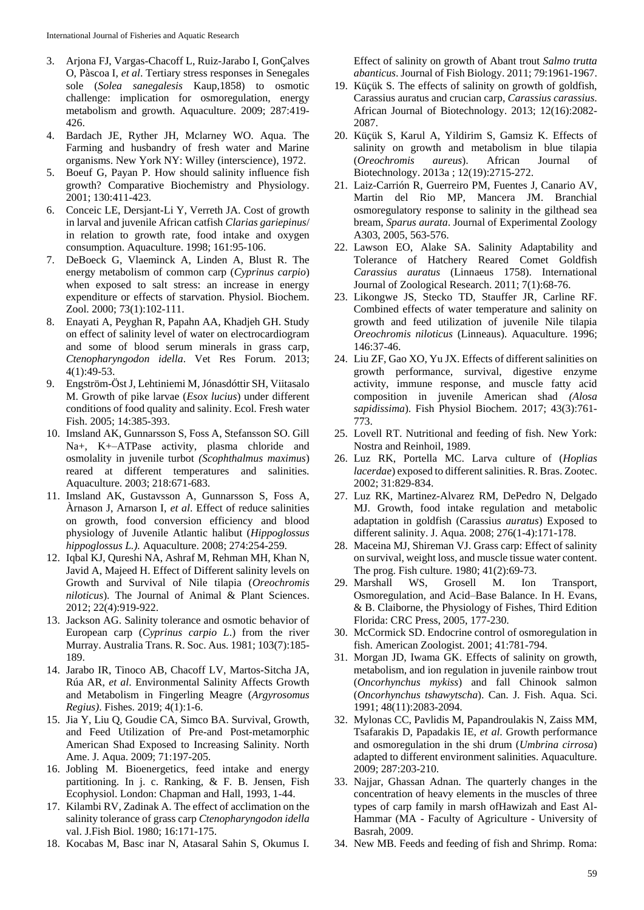- 3. Arjona FJ, Vargas-Chacoff L, Ruiz-Jarabo I, GonÇalves O, Pàscoa I, *et al*. Tertiary stress responses in Senegales sole (*Solea sanegalesis* Kaup,1858) to osmotic challenge: implication for osmoregulation, energy metabolism and growth. Aquaculture. 2009; 287:419- 426.
- 4. Bardach JE, Ryther JH, Mclarney WO. Aqua. The Farming and husbandry of fresh water and Marine organisms. New York NY: Willey (interscience), 1972.
- 5. Boeuf G, Payan P. How should salinity influence fish growth? Comparative Biochemistry and Physiology. 2001; 130:411-423.
- 6. Conceic LE, Dersjant-Li Y, Verreth JA. Cost of growth in larval and juvenile African catfish *Clarias gariepinus*/ in relation to growth rate, food intake and oxygen consumption. Aquaculture. 1998; 161:95-106.
- 7. DeBoeck G, Vlaeminck A, Linden A, Blust R. The energy metabolism of common carp (*Cyprinus carpio*) when exposed to salt stress: an increase in energy expenditure or effects of starvation. Physiol. Biochem. Zool. 2000; 73(1):102-111.
- 8. Enayati A, Peyghan R, Papahn AA, Khadjeh GH. Study on effect of salinity level of water on electrocardiogram and some of blood serum minerals in grass carp, *Ctenopharyngodon idella*. Vet Res Forum. 2013; 4(1):49-53.
- 9. Engström-Öst J, Lehtiniemi M, Jónasdóttir SH, Viitasalo M. Growth of pike larvae (*Esox lucius*) under different conditions of food quality and salinity. Ecol. Fresh water Fish. 2005; 14:385-393.
- 10. Imsland AK, Gunnarsson S, Foss A, Stefansson SO. Gill Na+, K+–ATPase activity, plasma chloride and osmolality in juvenile turbot *(Scophthalmus maximus*) reared at different temperatures and salinities. Aquaculture. 2003; 218:671-683.
- 11. Imsland AK, Gustavsson A, Gunnarsson S, Foss A, Àrnason J, Arnarson I, *et al*. Effect of reduce salinities on growth, food conversion efficiency and blood physiology of Juvenile Atlantic halibut (*Hippoglossus hippoglossus L.).* Aquaculture. 2008; 274:254-259.
- 12. Iqbal KJ, Qureshi NA, Ashraf M, Rehman MH, Khan N, Javid A, Majeed H. Effect of Different salinity levels on Growth and Survival of Nile tilapia (*Oreochromis niloticus*). The Journal of Animal & Plant Sciences. 2012; 22(4):919-922.
- 13. Jackson AG. Salinity tolerance and osmotic behavior of European carp (*Cyprinus carpio L*.) from the river Murray. Australia Trans. R. Soc. Aus. 1981; 103(7):185- 189.
- 14. Jarabo IR, Tinoco AB, Chacoff LV, Martos-Sitcha JA, Rúa AR, *et al*. Environmental Salinity Affects Growth and Metabolism in Fingerling Meagre (*Argyrosomus Regius)*. Fishes. 2019; 4(1):1-6.
- 15. Jia Y, Liu Q, Goudie CA, Simco BA. Survival, Growth, and Feed Utilization of Pre-and Post-metamorphic American Shad Exposed to Increasing Salinity. North Ame. J. Aqua. 2009; 71:197-205.
- 16. Jobling M. Bioenergetics, feed intake and energy partitioning. In j. c. Ranking, & F. B. Jensen, Fish Ecophysiol. London: Chapman and Hall, 1993, 1-44.
- 17. Kilambi RV, Zadinak A. The effect of acclimation on the salinity tolerance of grass carp *Ctenopharyngodon idella* val. J.Fish Biol. 1980; 16:171-175.
- 18. Kocabas M, Basc inar N, Atasaral Sahin S, Okumus I.

Effect of salinity on growth of Abant trout *Salmo trutta abanticus*. Journal of Fish Biology. 2011; 79:1961-1967.

- 19. Küçük S. The effects of salinity on growth of goldfish, Carassius auratus and crucian carp, *Carassius carassius*. African Journal of Biotechnology. 2013; 12(16):2082- 2087.
- 20. Küçük S, Karul A, Yildirim S, Gamsiz K. Effects of salinity on growth and metabolism in blue tilapia (*Oreochromis aureus*). African Journal of Biotechnology. 2013a ; 12(19):2715-272.
- 21. Laiz-Carrión R, Guerreiro PM, Fuentes J, Canario AV, Martin del Rio MP, Mancera JM. Branchial osmoregulatory response to salinity in the gilthead sea bream, *Sparus aurata*. Journal of Experimental Zoology A303, 2005, 563-576.
- 22. Lawson EO, Alake SA. Salinity Adaptability and Tolerance of Hatchery Reared Comet Goldfish *Carassius auratus* (Linnaeus 1758). International Journal of Zoological Research. 2011; 7(1):68-76.
- 23. Likongwe JS, Stecko TD, Stauffer JR, Carline RF. Combined effects of water temperature and salinity on growth and feed utilization of juvenile Nile tilapia *Oreochromis niloticus* (Linneaus). Aquaculture. 1996; 146:37-46.
- 24. Liu ZF, Gao XO, Yu JX. Effects of different salinities on growth performance, survival, digestive enzyme activity, immune response, and muscle fatty acid composition in juvenile American shad *(Alosa sapidissima*). Fish Physiol Biochem. 2017; 43(3):761- 773.
- 25. Lovell RT. Nutritional and feeding of fish. New York: Nostra and Reinhoil, 1989.
- 26. Luz RK, Portella MC. Larva culture of (*Hoplias lacerdae*) exposed to different salinities. R. Bras. Zootec. 2002; 31:829-834.
- 27. Luz RK, Martinez-Alvarez RM, DePedro N, Delgado MJ. Growth, food intake regulation and metabolic adaptation in goldfish (Carassius *auratus*) Exposed to different salinity. J. Aqua. 2008; 276(1-4):171-178.
- 28. Maceina MJ, Shireman VJ. Grass carp: Effect of salinity on survival, weight loss, and muscle tissue water content. The prog. Fish culture. 1980; 41(2):69-73.
- 29. Marshall WS, Grosell M. Ion Transport, Osmoregulation, and Acid–Base Balance. In H. Evans, & B. Claiborne, the Physiology of Fishes, Third Edition Florida: CRC Press, 2005, 177-230.
- 30. McCormick SD. Endocrine control of osmoregulation in fish. American Zoologist. 2001; 41:781-794.
- 31. Morgan JD, Iwama GK. Effects of salinity on growth, metabolism, and ion regulation in juvenile rainbow trout (*Oncorhynchus mykiss*) and fall Chinook salmon (*Oncorhynchus tshawytscha*). Can. J. Fish. Aqua. Sci. 1991; 48(11):2083-2094.
- 32. Mylonas CC, Pavlidis M, Papandroulakis N, Zaiss MM, Tsafarakis D, Papadakis IE, *et al*. Growth performance and osmoregulation in the shi drum (*Umbrina cirrosa*) adapted to different environment salinities. Aquaculture. 2009; 287:203-210.
- 33. Najjar, Ghassan Adnan. The quarterly changes in the concentration of heavy elements in the muscles of three types of carp family in marsh ofHawizah and East Al-Hammar (MA - Faculty of Agriculture - University of Basrah, 2009.
- 34. New MB. Feeds and feeding of fish and Shrimp. Roma: